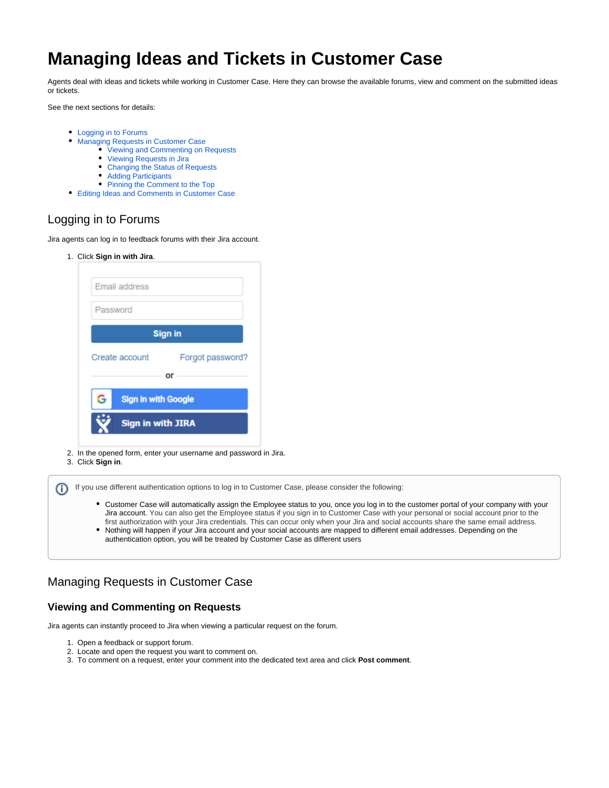# **Managing Ideas and Tickets in Customer Case**

Agents deal with ideas and tickets while working in Customer Case. Here they can browse the available forums, view and comment on the submitted ideas or tickets.

See the next sections for details:

- [Logging in to Forums](#page-0-0)
- [Managing Requests in Customer Case](#page-0-1)
	- [Viewing and Commenting on Requests](#page-0-2)
	- [Viewing Requests in Jira](#page-1-0)
	- [Changing the Status of Requests](#page-2-0)
	- [Adding Participants](#page-2-1)
	- [Pinning the Comment to the Top](#page-3-0)
- [Editing Ideas and Comments in Customer Case](#page-4-0)

## <span id="page-0-0"></span>Logging in to Forums

Jira agents can log in to feedback forums with their Jira account.

1. Click **Sign in with Jira**.

| Email address                   |                  |
|---------------------------------|------------------|
| Password                        |                  |
|                                 | <b>Sign in</b>   |
| Create account                  |                  |
|                                 | Forgot password? |
|                                 | or               |
| <b>Sign in with Google</b><br>G |                  |
| <b>Sign in with JIRA</b>        |                  |

- 2. In the opened form, enter your username and password in Jira.
- 3. Click **Sign in**.

If you use different authentication options to log in to Customer Case, please consider the following: ത

- Customer Case will automatically assign the Employee status to you, once you log in to the customer portal of your company with your Jira account. You can also get the Employee status if you sign in to Customer Case with your personal or social account prior to the first authorization with your Jira credentials. This can occur only when your Jira and social accounts share the same email address.
- Nothing will happen if your Jira account and your social accounts are mapped to different email addresses. Depending on the authentication option, you will be treated by Customer Case as different users

## <span id="page-0-1"></span>Managing Requests in Customer Case

#### <span id="page-0-2"></span>**Viewing and Commenting on Requests**

Jira agents can instantly proceed to Jira when viewing a particular request on the forum.

- 1. Open a feedback or support forum.
- 2. Locate and open the request you want to comment on.
- 3. To comment on a request, enter your comment into the dedicated text area and click **Post comment**.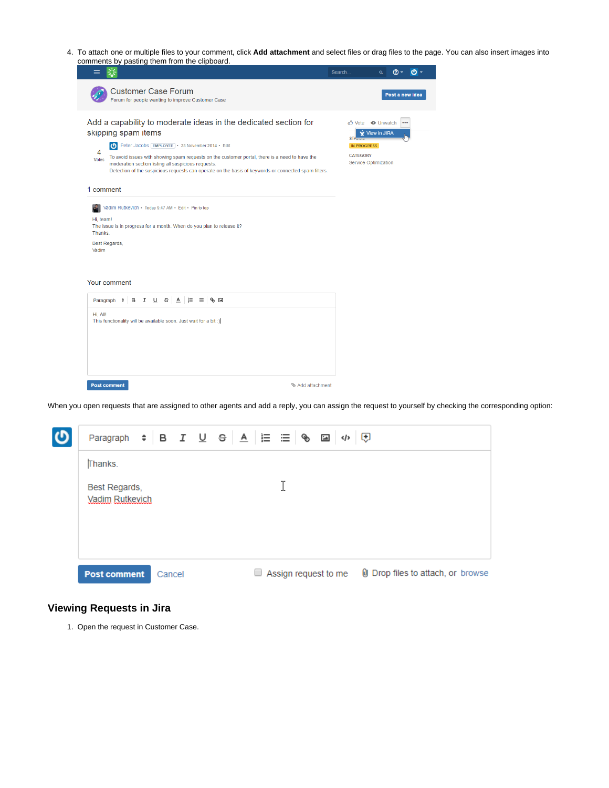4. To attach one or multiple files to your comment, click **Add attachment** and select files or drag files to the page. You can also insert images into comments by pasting them from the clipboard.

|                                                                                                                                                                                                                                                                                                                                                                                                                                                | $\sigma$ .<br>ത -<br>Search<br>Q                                                                                            |
|------------------------------------------------------------------------------------------------------------------------------------------------------------------------------------------------------------------------------------------------------------------------------------------------------------------------------------------------------------------------------------------------------------------------------------------------|-----------------------------------------------------------------------------------------------------------------------------|
| <b>Customer Case Forum</b><br>Forum for people wanting to improve Customer Case                                                                                                                                                                                                                                                                                                                                                                | Post a new idea                                                                                                             |
| Add a capability to moderate ideas in the dedicated section for<br>skipping spam items<br>Peter Jacobs [EMPLOYEE] · 28 November 2014 · Edit<br>4<br>To avoid issues with showing spam requests on the customer portal, there is a need to have the<br><b>Votes</b><br>moderation section listing all suspicious requests.<br>Detection of the suspicious requests can operate on the basis of keywords or connected spam filters.<br>1 comment | <b>心</b> Vote ● Unwatch<br>0.0.0<br>View in JIRA<br>STArva<br><b>IN PROGRESS</b><br><b>CATEGORY</b><br>Service Optimization |
| Vadim Rutkevich · Today 9:47 AM · Edit · Pin to top<br>Hi. team!<br>The issue is in progress for a month. When do you plan to release it?<br>Thanks.<br>Best Regards,<br>Vadim<br>Your comment                                                                                                                                                                                                                                                 |                                                                                                                             |
| Paragraph : B I U S A E ⊟ % E<br>Hi, All!<br>This functionality will be available soon. Just wait for a bit :)                                                                                                                                                                                                                                                                                                                                 |                                                                                                                             |
| <b>Post comment</b><br>Add attachment                                                                                                                                                                                                                                                                                                                                                                                                          |                                                                                                                             |

When you open requests that are assigned to other agents and add a reply, you can assign the request to yourself by checking the corresponding option:



#### <span id="page-1-0"></span>**Viewing Requests in Jira**

1. Open the request in Customer Case.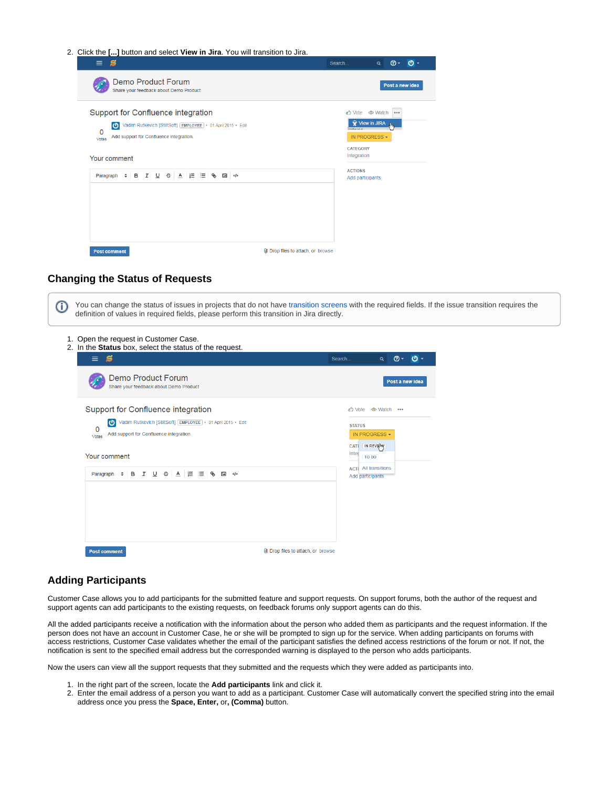|  |  |  |  | 2. Click the [] button and select View in Jira. You will transition to Jira. |  |
|--|--|--|--|------------------------------------------------------------------------------|--|
|  |  |  |  |                                                                              |  |

| $=$                                                                                                                                                                                                   | Search<br>$\omega$ -<br>$\sigma$<br>$\alpha$                                                                 |
|-------------------------------------------------------------------------------------------------------------------------------------------------------------------------------------------------------|--------------------------------------------------------------------------------------------------------------|
| Demo Product Forum<br>Share your feedback about Demo Product                                                                                                                                          | Post a new idea                                                                                              |
| Support for Confluence integration<br>Vadim Rutkevich [StiltSoft] [EMPLOYEE] • 01 April 2015 • Edit<br>$\boldsymbol{\sigma}$<br>0<br>Add support for Confluence integration.<br>Votes<br>Your comment | สำ Vote © Watch<br>000<br><b>Y</b> View in JIRA<br>519195<br>IN PROGRESS -<br><b>CATEGORY</b><br>Integration |
| Paragraph $\div$ <b>B</b> $I \cup \div$ $\div$ <b>A</b> $E \equiv \$                                                                                                                                  | <b>ACTIONS</b><br>Add participants                                                                           |
| U Drop files to attach, or browse<br><b>Post comment</b>                                                                                                                                              |                                                                                                              |

#### <span id="page-2-0"></span>**Changing the Status of Requests**

You can change the status of issues in projects that do not have [transition screens](https://confluence.atlassian.com/jirakb/map-a-screen-to-a-workflow-transition-in-jira-server-720634253.html) with the required fields. If the issue transition requires the O) definition of values in required fields, please perform this transition in Jira directly.1. Open the request in Customer Case. 2. In the **Status** box, select the status of the request.  $\odot$  - $\circ$  $\equiv$ S Search. Demo Product Forum Post a new ide Share your feedback about Demo Product Support for Confluence integration ♂ Vote © Watch ... Vadim Rutkevich [StiltSoft] [EMPLOYEE] • 01 April 2015 • Edit **STATUS**  $\Omega$ Add support for Confluence integration. IN PROGRESS . Votes CATE IN REVIEW Integ<sub>To DO</sub> Your comment **ACTI** All transitions Paragraph  $\div$  **B**  $I$  **U**  $\div$  **A**  $E \equiv \otimes$  **B**  $\phi$ Add participants Post comment U Drop files to attach, or browse

#### <span id="page-2-1"></span>**Adding Participants**

Customer Case allows you to add participants for the submitted feature and support requests. On support forums, both the author of the request and support agents can add participants to the existing requests, on feedback forums only support agents can do this.

All the added participants receive a notification with the information about the person who added them as participants and the request information. If the person does not have an account in Customer Case, he or she will be prompted to sign up for the service. When adding participants on forums with access restrictions, Customer Case validates whether the email of the participant satisfies the defined access restrictions of the forum or not. If not, the notification is sent to the specified email address but the corresponded warning is displayed to the person who adds participants.

Now the users can view all the support requests that they submitted and the requests which they were added as participants into.

- 1. In the right part of the screen, locate the **Add participants** link and click it.
- 2. Enter the email address of a person you want to add as a participant. Customer Case will automatically convert the specified string into the email address once you press the **Space, Enter,** or**, (Comma)** button.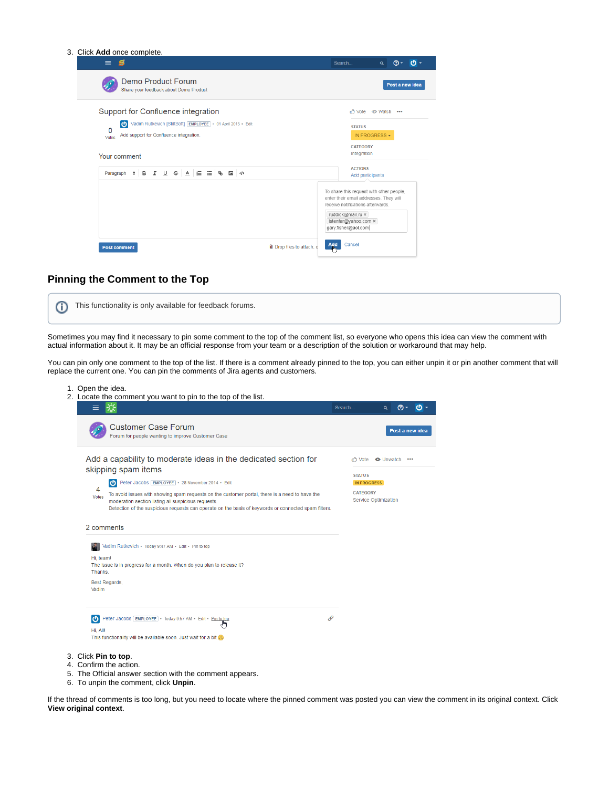| 3. Click Add once complete.                                                                                                                   |                                                                                                                                                                                             |                     |                 |               |
|-----------------------------------------------------------------------------------------------------------------------------------------------|---------------------------------------------------------------------------------------------------------------------------------------------------------------------------------------------|---------------------|-----------------|---------------|
| $\equiv$ $\bf{s}$                                                                                                                             | Search                                                                                                                                                                                      | $\alpha$            |                 | <b>ூ- மு-</b> |
| Demo Product Forum<br>Share your feedback about Demo Product                                                                                  |                                                                                                                                                                                             |                     | Post a new idea |               |
| Support for Confluence integration                                                                                                            |                                                                                                                                                                                             | สำ Vote © Watch ••• |                 |               |
| Vadim Rutkevich [StiltSoft] EMPLOYEE + 01 April 2015 + Edit<br>$\boldsymbol{\omega}$<br>0<br>Add support for Confluence integration.<br>Votes | <b>STATUS</b>                                                                                                                                                                               | IN PROGRESS -       |                 |               |
| Your comment                                                                                                                                  | <b>CATEGORY</b><br>Integration                                                                                                                                                              |                     |                 |               |
| Paragraph ≑ B I U S A E ⊟ S E →                                                                                                               | <b>ACTIONS</b>                                                                                                                                                                              | Add participants    |                 |               |
|                                                                                                                                               | To share this request with other people,<br>enter their email addresses. They will<br>receive notifications afterwards.<br>ruddick@mail.ru x<br>Istenfer@yahoo.com ×<br>gary.fisher@aol.com |                     |                 |               |
| U Drop files to attach, o<br><b>Post comment</b>                                                                                              | Cancel<br>Add<br>L                                                                                                                                                                          |                     |                 |               |

#### <span id="page-3-0"></span>**Pinning the Comment to the Top**

| This functionality is only available for feedback forums. |  |
|-----------------------------------------------------------|--|
|                                                           |  |

Sometimes you may find it necessary to pin some comment to the top of the comment list, so everyone who opens this idea can view the comment with actual information about it. It may be an official response from your team or a description of the solution or workaround that may help.

You can pin only one comment to the top of the list. If there is a comment already pinned to the top, you can either unpin it or pin another comment that will replace the current one. You can pin the comments of Jira agents and customers.

| 1. Open the idea.      | 2. Locate the comment you want to pin to the top of the list.                                                                                                                                                                                                 |                 |                                  |                 |     |
|------------------------|---------------------------------------------------------------------------------------------------------------------------------------------------------------------------------------------------------------------------------------------------------------|-----------------|----------------------------------|-----------------|-----|
| ≡                      |                                                                                                                                                                                                                                                               | Search          | Q                                | <u>ര</u> -      | ტ - |
|                        | <b>Customer Case Forum</b><br>Forum for people wanting to improve Customer Case                                                                                                                                                                               |                 |                                  | Post a new idea |     |
|                        | Add a capability to moderate ideas in the dedicated section for<br>skipping spam items                                                                                                                                                                        | <b>STATUS</b>   | to Vote <del>●</del> Unwatch ••• |                 |     |
|                        | Peter Jacobs EMPLOYEE . 28 November 2014 . Edit                                                                                                                                                                                                               |                 | <b>IN PROGRESS</b>               |                 |     |
| 4<br>Votes             | To avoid issues with showing spam requests on the customer portal, there is a need to have the<br>moderation section listing all suspicious requests.<br>Detection of the suspicious requests can operate on the basis of keywords or connected spam filters. | <b>CATEGORY</b> | <b>Service Optimization</b>      |                 |     |
| 2 comments             |                                                                                                                                                                                                                                                               |                 |                                  |                 |     |
|                        | Vadim Rutkevich · Today 9:47 AM · Edit · Pin to top                                                                                                                                                                                                           |                 |                                  |                 |     |
| Hi. team!<br>Thanks.   | The issue is in progress for a month. When do you plan to release it?                                                                                                                                                                                         |                 |                                  |                 |     |
| Best Regards,<br>Vadim |                                                                                                                                                                                                                                                               |                 |                                  |                 |     |
| ৩<br>Hi, All!          | O<br>Peter Jacobs EMPLOYEE . Today 9:57 AM . Edit . Pin to top                                                                                                                                                                                                |                 |                                  |                 |     |
|                        | This functionality will be available soon. Just wait for a bit                                                                                                                                                                                                |                 |                                  |                 |     |
| 3. Click Pin to top.   | 4. Confirm the action.<br>5. The Official answer section with the comment appears.                                                                                                                                                                            |                 |                                  |                 |     |

6. To unpin the comment, click **Unpin**.

If the thread of comments is too long, but you need to locate where the pinned comment was posted you can view the comment in its original context. Click **View original context**.